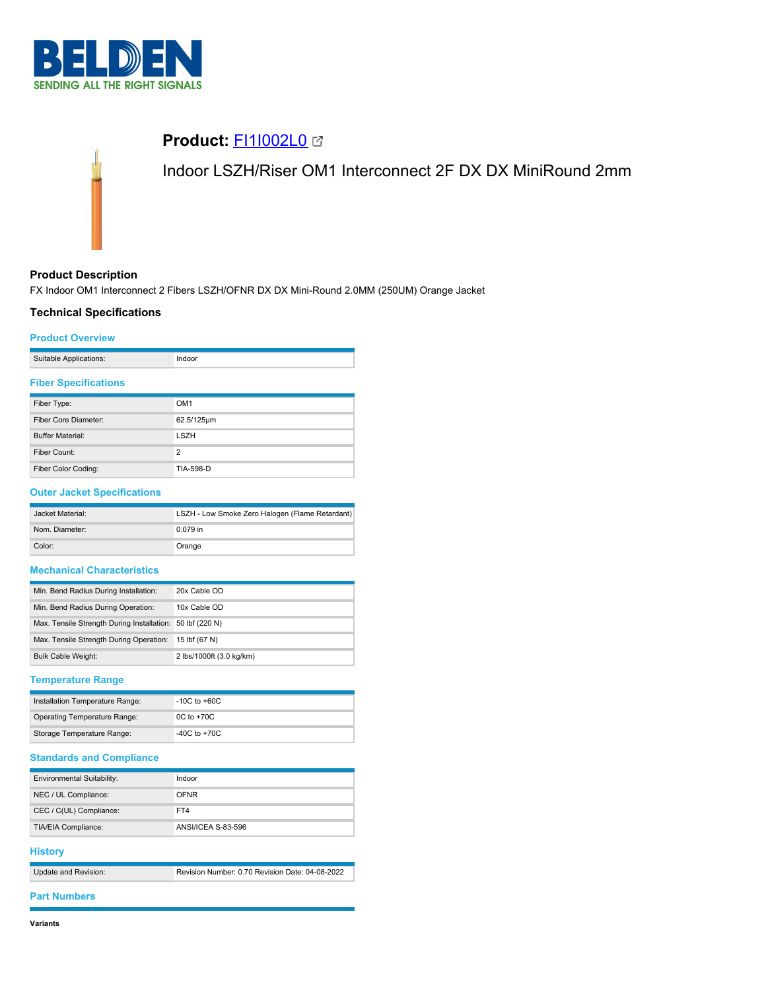



## **Product Description**

FX Indoor OM1 Interconnect 2 Fibers LSZH/OFNR DX DX Mini-Round 2.0MM (250UM) Orange Jacket

## **Technical Specifications**

### **Product Overview**

| Suitable Applications: |  |
|------------------------|--|
|                        |  |

## **Fiber Specifications**

| Fiber Type:             | OM <sub>1</sub> |
|-------------------------|-----------------|
| Fiber Core Diameter:    | 62.5/125µm      |
| <b>Buffer Material:</b> | <b>LSZH</b>     |
| Fiber Count:            | $\overline{2}$  |
| Fiber Color Coding:     | TIA-598-D       |

### **Outer Jacket Specifications**

| Jacket Material: | LSZH - Low Smoke Zero Halogen (Flame Retardant) |
|------------------|-------------------------------------------------|
| Nom. Diameter:   | 0.079 in                                        |
| Color:           | Orange                                          |

## **Mechanical Characteristics**

| Min. Bend Radius During Installation:                     | 20x Cable OD             |
|-----------------------------------------------------------|--------------------------|
| Min. Bend Radius During Operation:                        | 10x Cable OD             |
| Max. Tensile Strength During Installation: 50 lbf (220 N) |                          |
| Max. Tensile Strength During Operation:                   | 15 lbf (67 N)            |
| <b>Bulk Cable Weight:</b>                                 | 2 lbs/1000ft (3.0 kg/km) |

# **Temperature Range**

| Installation Temperature Range:     | $-10C$ to $+60C$ |
|-------------------------------------|------------------|
| <b>Operating Temperature Range:</b> | $0C$ to $+70C$   |
| Storage Temperature Range:          | $-40C$ to $+70C$ |

## **Standards and Compliance**

| Environmental Suitability: | Indoor             |
|----------------------------|--------------------|
| NEC / UL Compliance:       | <b>OFNR</b>        |
| CEC / C(UL) Compliance:    | FT4                |
| <b>TIA/EIA Compliance:</b> | ANSI/ICEA S-83-596 |

### **History**

| Update and Revision: | Revision Number: 0.70 Revision Date: 04-08-2022 |
|----------------------|-------------------------------------------------|

## **Part Numbers**